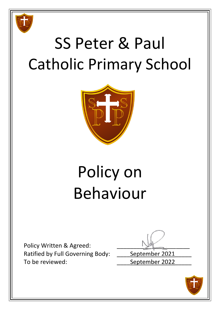

# SS Peter & Paul Catholic Primary School



# Policy on Behaviour

Policy Written & Agreed: Ratified by Full Governing Body: \_\_\_\_\_ September 2021 To be reviewed: To be reviewed:

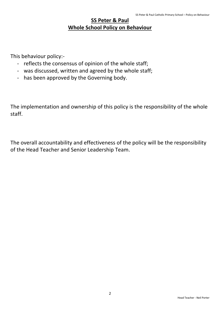## **SS Peter & Paul Whole School Policy on Behaviour**

This behaviour policy:-

- reflects the consensus of opinion of the whole staff;
- was discussed, written and agreed by the whole staff;
- has been approved by the Governing body.

The implementation and ownership of this policy is the responsibility of the whole staff.

The overall accountability and effectiveness of the policy will be the responsibility of the Head Teacher and Senior Leadership Team.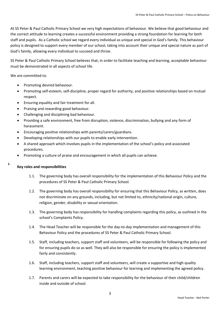At SS Peter & Paul Catholic Primary School we very high expectations of behaviour. We believe that good behaviour and the correct attitude to learning creates a successful environment providing a strong foundation for learning for both staff and pupils. As a Catholic school we regard every individual as unique and special in God's family. This behaviour policy is designed to support every member of our school, taking into account their unique and special nature as part of God's family, allowing every individual to succeed and thrive.

SS Peter & Paul Catholic Primary School believes that, in order to facilitate teaching and learning, acceptable behaviour must be demonstrated in all aspects of school life.

We are committed to:

- Promoting desired behaviour.
- Promoting self-esteem, self-discipline, proper regard for authority, and positive relationships based on mutual respect.
- Ensuring equality and fair treatment for all.
- Praising and rewarding good behaviour.
- Challenging and disciplining bad behaviour.
- Providing a safe environment, free from disruption, violence, discrimination, bullying and any form of harassment.
- Encouraging positive relationships with parents/carers/guardians.
- Developing relationships with our pupils to enable early intervention.
- A shared approach which involves pupils in the implementation of the school's policy and associated procedures.
- Promoting a culture of praise and encouragement in which all pupils can achieve.

#### $\mathbf{1}$ . **Key roles and responsibilities**

- 1.1. The governing body has overall responsibility for the implementation of this Behaviour Policy and the procedures of SS Peter & Paul Catholic Primary School.
- 1.2. The governing body has overall responsibility for ensuring that this Behaviour Policy, as written, does not discriminate on any grounds, including, but not limited to, ethnicity/national origin, culture, religion, gender, disability or sexual orientation.
- 1.3. The governing body has responsibility for handling complaints regarding this policy, as outlined in the school's Complaints Policy.
- 1.4. The Head Teacher will be responsible for the day-to-day implementation and management of this Behaviour Policy and the procedures of SS Peter & Paul Catholic Primary School.
- 1.5. Staff, including teachers, support staff and volunteers, will be responsible for following the policy and for ensuring pupils do so as well. They will also be responsible for ensuring the policy is implemented fairly and consistently.
- 1.6. Staff, including teachers, support staff and volunteers, will create a supportive and high quality learning environment, teaching positive behaviour for learning and implementing the agreed policy.
- 1.7. Parents and carers will be expected to take responsibility for the behaviour of their child/children inside and outside of school.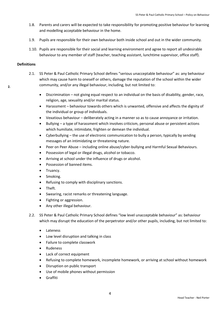- 1.8. Parents and carers will be expected to take responsibility for promoting positive behaviour for learning and modelling acceptable behaviour in the home.
- 1.9. Pupils are responsible for their own behaviour both inside school and out in the wider community.
- 1.10. Pupils are responsible for their social and learning environment and agree to report all undesirable behaviour to any member of staff (teacher, teaching assistant, lunchtime supervisor, office staff).

#### **Definitions**

- 2.1. SS Peter & Paul Catholic Primary School defines "serious unacceptable behaviour" as: any behaviour which may cause harm to oneself or others, damage the reputation of the school within the wider community, and/or any illegal behaviour, including, but not limited to:
	- Discrimination not giving equal respect to an individual on the basis of disability, gender, race, religion, age, sexuality and/or marital status.
	- Harassment behaviour towards others which is unwanted, offensive and affects the dignity of the individual or group of individuals.
	- Vexatious behaviour deliberately acting in a manner so as to cause annoyance or irritation.
	- Bullying a type of harassment which involves criticism, personal abuse or persistent actions which humiliate, intimidate, frighten or demean the individual.
	- Cyberbullying the use of electronic communication to bully a person, typically by sending messages of an intimidating or threatening nature.
	- Peer on Peer Abuse including online abuse/cyber-bullying and Harmful Sexual Behaviours.
	- Possession of legal or illegal drugs, alcohol or tobacco.
	- Arriving at school under the influence of drugs or alcohol.
	- Possession of banned items.
	- Truancy.
	- Smoking.
	- Refusing to comply with disciplinary sanctions.
	- Theft.
	- Swearing, racist remarks or threatening language.
	- Fighting or aggression.
	- Any other illegal behaviour.
- 2.2. SS Peter & Paul Catholic Primary School defines "low level unacceptable behaviour" as: behaviour which may disrupt the education of the perpetrator and/or other pupils, including, but not limited to:
	- Lateness
	- Low level disruption and talking in class
	- Failure to complete classwork
	- Rudeness
	- Lack of correct equipment
	- Refusing to complete homework, incomplete homework, or arriving at school without homework
	- Disruption on public transport
	- Use of mobile phones without permission
	- Graffiti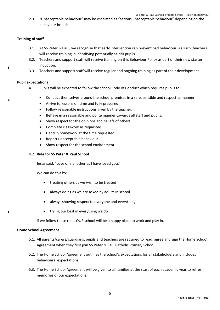2.3. "Unacceptable behaviour" may be escalated as "serious unacceptable behaviour" depending on the behaviour breach.

#### **Training of staff**

- 3.1. At SS Peter & Paul, we recognise that early intervention can prevent bad behaviour. As such, teachers will receive training in identifying potentially at-risk pupils.
- 3.2. Teachers and support staff will receive training on this Behaviour Policy as part of their new starter induction.
- 3.3. Teachers and support staff will receive regular and ongoing training as part of their development.

#### **Pupil expectations**

- 4.1. Pupils will be expected to follow the school Code of Conduct which requires pupils to:
	- Conduct themselves around the school premises in a safe, sensible and respectful manner.
	- Arrive to lessons on time and fully prepared.
	- Follow reasonable instructions given by the teacher.
	- Behave in a reasonable and polite manner towards all staff and pupils.
	- Show respect for the opinions and beliefs of others.
	- Complete classwork as requested.
	- Hand in homework at the time requested.
	- Report unacceptable behaviour.
	- Show respect for the school environment.

#### 4.2. **Rule for SS Peter & Paul School**

Jesus said, "Love one another as I have loved you."

We can do this by:-

- treating others as we wish to be treated
- always doing as we are asked by adults in school
- always showing respect to everyone and everything
- trying our best in everything we do

If we follow these rules OUR school will be a happy place to work and play in.

#### **Home School Agreement**

- 5.1. All parents/carers/guardians, pupils and teachers are required to read, agree and sign the Home School Agreement when they first join SS Peter & Paul Catholic Primary School.
- 5.2. The Home School Agreement outlines the school's expectations for all stakeholders and includes behavioural expectations.
- 5.3. The Home School Agreement will be given to all families at the start of each academic year to refresh memories of our expectations.

 $\mathbf{A}$ 

5.

 $\overline{a}$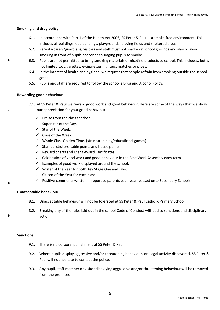### **Smoking and drug policy**

- 6.1. In accordance with Part 1 of the Health Act 2006, SS Peter & Paul is a smoke free environment. This includes all buildings, out-buildings, playgrounds, playing fields and sheltered areas.
- 6.2. Parents/carers/guardians, visitors and staff must not smoke on school grounds and should avoid smoking in front of pupils and/or encouraging pupils to smoke.
- 6.3. Pupils are not permitted to bring smoking materials or nicotine products to school. This includes, but is not limited to, cigarettes, e-cigarettes, lighters, matches or pipes.
- 6.4. In the interest of health and hygiene, we request that people refrain from smoking outside the school gates.
- 6.5. Pupils and staff are required to follow the school's Drug and Alcohol Policy.

### **Rewarding good behaviour**

- 7.1. At SS Peter & Paul we reward good work and good behaviour. Here are some of the ways that we show our appreciation for your good behaviour:-
	- $\checkmark$  Praise from the class teacher.
	- $\checkmark$  Superstar of the Day.
	- $\checkmark$  Star of the Week.
	- $\checkmark$  Class of the Week.
	- $\checkmark$  Whole Class Golden Time. (structured play/educational games)
	- $\checkmark$  Stamps, stickers, table points and house points.
	- $\checkmark$  Reward charts and Merit Award Certificates.
	- $\checkmark$  Celebration of good work and good behaviour in the Best Work Assembly each term.
	- $\checkmark$  Examples of good work displayed around the school.
	- $\checkmark$  Writer of the Year for both Key Stage One and Two.
	- $\checkmark$  Citizen of the Year for each class.
	- $\checkmark$  Positive comments written in report to parents each year, passed onto Secondary Schools.

### **Unacceptable behaviour**

- 8.1. Unacceptable behaviour will not be tolerated at SS Peter & Paul Catholic Primary School.
- 8.2. Breaking any of the rules laid out in the school Code of Conduct will lead to sanctions and disciplinary action.

#### **Sanctions**

- 9.1. There is no corporal punishment at SS Peter & Paul.
- 9.2. Where pupils display aggressive and/or threatening behaviour, or illegal activity discovered, SS Peter & Paul will not hesitate to contact the police.
- 9.3. Any pupil, staff member or visitor displaying aggressive and/or threatening behaviour will be removed from the premises.

6.

 $\overline{z}$ 

8.

 $\mathbf{q}$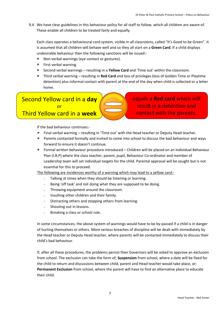9.4. We have clear guidelines in this behaviour policy for all staff to follow, which all children are aware of. These enable all children to be treated fairly and equally.

Each class operates a behavioural card system, visible in all classrooms, called "It's Good to be Green". It is assumed that all children will behave well and so they all start on a **Green Card**. If a child displays undesirable behaviour then the following sanctions will be issued:-

- Non-verbal warnings (eye contact or gestures).
- First verbal warning.
- Second verbal warnings resulting in a **Yellow Card** and 'Time out' within the classroom.
- Third verbal warning resulting in **Red Card** and loss of privileges (loss of Golden Time or Playtime detention) plus informal contact with parent at the end of the day when child is collected or a letter home.

## Second Yellow card in a **day** or Third Yellow card in a **week**

equals a **Red card** which will result in a detention and contact with the parents.

If the bad behaviour continues:-

- Final verbal warning resulting in 'Time out' with the Head teacher or Deputy Head teacher.
- Parents contacted formally and invited to come into school to discuss the bad behaviour and ways forward to ensure it doesn't continue.
- Formal written behaviour procedure introduced Children will be placed on an Individual Behaviour Plan (I.B.P) where the class teacher, parent, pupil, Behaviour Co-ordinator and member of Leadership team will set individual targets for the child. Parental approval will be sought but is not essential for this to proceed.

The following are incidences worthy of a warning which may lead to a yellow card:-

- Talking at times when they should be listening or learning.
- Being 'off task' and not doing what they are supposed to be doing.
- Throwing equipment around the classroom.
- Insulting other children and their family.
- Distracting others and stopping others from learning.
- Shouting out in lessons.
- Breaking a class or school rule.

In some circumstances, the above system of warnings would have to be by-passed if a child is in danger of hurting themselves or others. More serious breaches of discipline will be dealt with immediately by the Head teacher or Deputy Head teacher, where parents will be contacted immediately to discuss their child's bad behaviour.

If, after all these procedures, the problems persist then Governors will be asked to approve an exclusion from school. The exclusion can take the form of; **Suspension** from school, where a date will be fixed for the child to return and discussions between child, parent and Head teacher would take place, or; **Permanent Exclusion** from school, where the parent will have to find an alternative place to educate their child.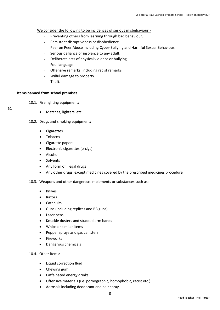We consider the following to be incidences of serious misbehaviour:-

- Preventing others from learning through bad behaviour.
- Persistent disruptiveness or disobedience.
- Peer on Peer Abuse including Cyber-Bullying and Harmful Sexual Behaviour.
- Serious defiance or insolence to any adult.
- Deliberate acts of physical violence or bullying.
- Foul language.
- Offensive remarks, including racist remarks.
- Wilful damage to property.
- Theft.

#### **Items banned from school premises**

10.1. Fire lighting equipment:

- 10.
- Matches, lighters, etc.
- 10.2. Drugs and smoking equipment:
	- Cigarettes
	- Tobacco
	- Cigarette papers
	- Electronic cigarettes (e-cigs)
	- Alcohol
	- Solvents
	- Any form of illegal drugs
	- Any other drugs, except medicines covered by the prescribed medicines procedure
- 10.3. Weapons and other dangerous implements or substances such as:
	- Knives
	- Razors
	- Catapults
	- Guns (including replicas and BB guns)
	- Laser pens
	- Knuckle dusters and studded arm bands
	- Whips or similar items
	- Pepper sprays and gas canisters
	- Fireworks
	- Dangerous chemicals
- 10.4. Other items:
	- Liquid correction fluid
	- Chewing gum
	- Caffeinated energy drinks
	- Offensive materials (i.e. pornographic, homophobic, racist etc.)
	- Aerosols including deodorant and hair spray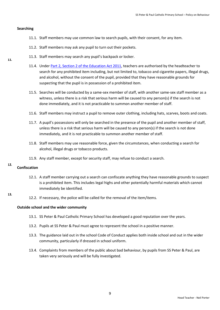#### **Searching**

11.

- 11.1. Staff members may use common law to search pupils, with their consent, for any item.
- 11.2. Staff members may ask any pupil to turn out their pockets.
- 11.3. Staff members may search any pupil's backpack or locker.
- 11.4. Under [Part 2, Section 2 of the Education Act 2011,](http://www.legislation.gov.uk/ukpga/2011/21/section/2/enacted) teachers are authorised by the headteacher to search for any prohibited item including, but not limited to, tobacco and cigarette papers, illegal drugs, and alcohol, without the consent of the pupil, provided that they have reasonable grounds for suspecting that the pupil is in possession of a prohibited item.
- 11.5. Searches will be conducted by a same-sex member of staff, with another same-sex staff member as a witness, unless there is a risk that serious harm will be caused to any person(s) if the search is not done immediately, and it is not practicable to summon another member of staff.
- 11.6. Staff members may instruct a pupil to remove outer clothing, including hats, scarves, boots and coats.
- 11.7. A pupil's possessions will only be searched in the presence of the pupil and another member of staff, unless there is a risk that serious harm will be caused to any person(s) if the search is not done immediately, and it is not practicable to summon another member of staff.
- 11.8. Staff members may use reasonable force, given the circumstances, when conducting a search for alcohol, illegal drugs or tobacco products.
- 11.9. Any staff member, except for security staff, may refuse to conduct a search.

#### $12<sub>2</sub>$ **Confiscation**

13.

- 12.1. A staff member carrying out a search can confiscate anything they have reasonable grounds to suspect is a prohibited item. This includes legal highs and other potentially harmful materials which cannot immediately be identified.
- 12.2. If necessary, the police will be called for the removal of the item/items.

#### **Outside school and the wider community**

- 13.1. SS Peter & Paul Catholic Primary School has developed a good reputation over the years.
- 13.2. Pupils at SS Peter & Paul must agree to represent the school in a positive manner.
- 13.3. The guidance laid out in the school Code of Conduct applies both inside school and out in the wider community, particularly if dressed in school uniform.
- 13.4. Complaints from members of the public about bad behaviour, by pupils from SS Peter & Paul, are taken very seriously and will be fully investigated.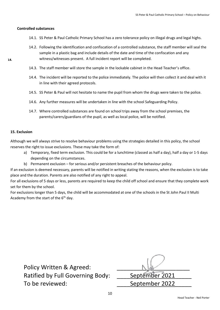#### **Controlled substances**

- 14.1. SS Peter & Paul Catholic Primary School has a zero tolerance policy on illegal drugs and legal highs.
- 14.2. Following the identification and confiscation of a controlled substance, the staff member will seal the sample in a plastic bag and include details of the date and time of the confiscation and any witness/witnesses present. A full incident report will be completed.
- 14.3. The staff member will store the sample in the lockable cabinet in the Head Teacher's office.
- 14.4. The incident will be reported to the police immediately. The police will then collect it and deal with it in line with their agreed protocols.
- 14.5. SS Peter & Paul will not hesitate to name the pupil from whom the drugs were taken to the police.
- 14.6. Any further measures will be undertaken in line with the school Safeguarding Policy.
- 14.7. Where controlled substances are found on school trips away from the school premises, the parents/carers/guardians of the pupil, as well as local police, will be notified.

#### **15. Exclusion**

14.

Although we will always strive to resolve behaviour problems using the strategies detailed in this policy, the school reserves the right to issue exclusions. These may take the form of:

- a) Temporary, fixed term exclusion. This could be for a lunchtime (classed as half a day), half a day or 1-5 days depending on the circumstances.
- b) Permanent exclusion for serious and/or persistent breaches of the behaviour policy.

If an exclusion is deemed necessary, parents will be notified in writing stating the reasons, when the exclusion is to take place and the duration. Parents are also notified of any right to appeal.

For all exclusions of 5 days or less, parents are required to keep the child off school and ensure that they complete work set for them by the school.

For exclusions longer than 5 days, the child will be accommodated at one of the schools in the St John Paul II Multi Academy from the start of the  $6<sup>th</sup>$  day.

Policy Written & Agreed: Ratified by Full Governing Body: September 2021 To be reviewed: To be reviewed: